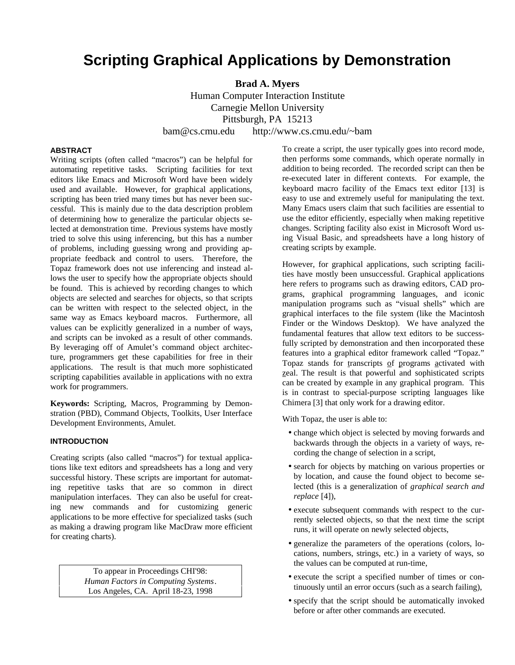# **Scripting Graphical Applications by Demonstration**

**Brad A. Myers** Human Computer Interaction Institute Carnegie Mellon University Pittsburgh, PA 15213 bam@cs.cmu.edu http://www.cs.cmu.edu/~bam

## **ABSTRACT**

Writing scripts (often called "macros") can be helpful for automating repetitive tasks. Scripting facilities for text editors like Emacs and Microsoft Word have been widely used and available. However, for graphical applications, scripting has been tried many times but has never been successful. This is mainly due to the data description problem of determining how to generalize the particular objects selected at demonstration time. Previous systems have mostly tried to solve this using inferencing, but this has a number of problems, including guessing wrong and providing appropriate feedback and control to users. Therefore, the Topaz framework does not use inferencing and instead allows the user to specify how the appropriate objects should be found. This is achieved by recording changes to which objects are selected and searches for objects, so that scripts can be written with respect to the selected object, in the same way as Emacs keyboard macros. Furthermore, all values can be explicitly generalized in a number of ways, and scripts can be invoked as a result of other commands. By leveraging off of Amulet's command object architecture, programmers get these capabilities for free in their applications. The result is that much more sophisticated scripting capabilities available in applications with no extra work for programmers.

**Keywords:** Scripting, Macros, Programming by Demonstration (PBD), Command Objects, Toolkits, User Interface Development Environments, Amulet.

## **INTRODUCTION**

Creating scripts (also called "macros") for textual applications like text editors and spreadsheets has a long and very successful history. These scripts are important for automating repetitive tasks that are so common in direct manipulation interfaces. They can also be useful for creating new commands and for customizing generic applications to be more effective for specialized tasks (such as making a drawing program like MacDraw more efficient for creating charts).

> To appear in Proceedings CHI'98: *Human Factors in Computing Systems*. Los Angeles, CA. April 18-23, 1998

To create a script, the user typically goes into record mode, then performs some commands, which operate normally in addition to being recorded. The recorded script can then be re-executed later in different contexts. For example, the keyboard macro facility of the Emacs text editor [13] is easy to use and extremely useful for manipulating the text. Many Emacs users claim that such facilities are essential to use the editor efficiently, especially when making repetitive changes. Scripting facility also exist in Microsoft Word using Visual Basic, and spreadsheets have a long history of creating scripts by example.

However, for graphical applications, such scripting facilities have mostly been unsuccessful. Graphical applications here refers to programs such as drawing editors, CAD programs, graphical programming languages, and iconic manipulation programs such as "visual shells" which are graphical interfaces to the file system (like the Macintosh Finder or the Windows Desktop). We have analyzed the fundamental features that allow text editors to be successfully scripted by demonstration and then incorporated these features into a graphical editor framework called "Topaz." Topaz stands for transcripts of programs activated with zeal. The result is that powerful and sophisticated scripts can be created by example in any graphical program. This is in contrast to special-purpose scripting languages like Chimera [3] that only work for a drawing editor.

With Topaz, the user is able to:

- change which object is selected by moving forwards and backwards through the objects in a variety of ways, recording the change of selection in a script,
- search for objects by matching on various properties or by location, and cause the found object to become selected (this is a generalization of *graphical search and replace* [4]),
- execute subsequent commands with respect to the currently selected objects, so that the next time the script runs, it will operate on newly selected objects,
- generalize the parameters of the operations (colors, locations, numbers, strings, etc.) in a variety of ways, so the values can be computed at run-time,
- execute the script a specified number of times or continuously until an error occurs (such as a search failing),
- specify that the script should be automatically invoked before or after other commands are executed.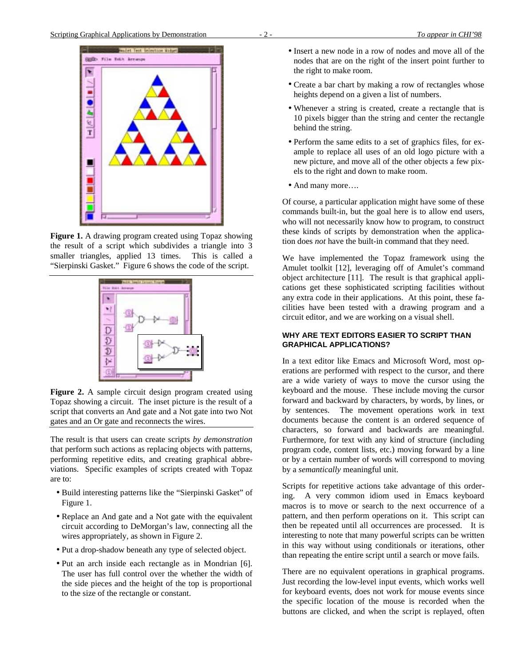

**Figure 1.** A drawing program created using Topaz showing the result of a script which subdivides a triangle into 3 smaller triangles, applied 13 times. This is called a "Sierpinski Gasket." Figure 6 shows the code of the script.



**Figure 2.** A sample circuit design program created using Topaz showing a circuit. The inset picture is the result of a script that converts an And gate and a Not gate into two Not gates and an Or gate and reconnects the wires.

The result is that users can create scripts *by demonstration* that perform such actions as replacing objects with patterns, performing repetitive edits, and creating graphical abbreviations. Specific examples of scripts created with Topaz are to:

- Build interesting patterns like the "Sierpinski Gasket" of Figure 1.
- Replace an And gate and a Not gate with the equivalent circuit according to DeMorgan's law, connecting all the wires appropriately, as shown in Figure 2.
- Put a drop-shadow beneath any type of selected object.
- Put an arch inside each rectangle as in Mondrian [6]. The user has full control over the whether the width of the side pieces and the height of the top is proportional to the size of the rectangle or constant.
- Insert a new node in a row of nodes and move all of the nodes that are on the right of the insert point further to the right to make room.
- Create a bar chart by making a row of rectangles whose heights depend on a given a list of numbers.
- Whenever a string is created, create a rectangle that is 10 pixels bigger than the string and center the rectangle behind the string.
- Perform the same edits to a set of graphics files, for example to replace all uses of an old logo picture with a new picture, and move all of the other objects a few pixels to the right and down to make room.
- And many more....

Of course, a particular application might have some of these commands built-in, but the goal here is to allow end users, who will not necessarily know how to program, to construct these kinds of scripts by demonstration when the application does *not* have the built-in command that they need.

We have implemented the Topaz framework using the Amulet toolkit [12], leveraging off of Amulet's command object architecture [11]. The result is that graphical applications get these sophisticated scripting facilities without any extra code in their applications. At this point, these facilities have been tested with a drawing program and a circuit editor, and we are working on a visual shell.

# **WHY ARE TEXT EDITORS EASIER TO SCRIPT THAN GRAPHICAL APPLICATIONS?**

In a text editor like Emacs and Microsoft Word, most operations are performed with respect to the cursor, and there are a wide variety of ways to move the cursor using the keyboard and the mouse. These include moving the cursor forward and backward by characters, by words, by lines, or by sentences. The movement operations work in text documents because the content is an ordered sequence of characters, so forward and backwards are meaningful. Furthermore, for text with any kind of structure (including program code, content lists, etc.) moving forward by a line or by a certain number of words will correspond to moving by a *semantically* meaningful unit.

Scripts for repetitive actions take advantage of this ordering. A very common idiom used in Emacs keyboard macros is to move or search to the next occurrence of a pattern, and then perform operations on it. This script can then be repeated until all occurrences are processed. It is interesting to note that many powerful scripts can be written in this way without using conditionals or iterations, other than repeating the entire script until a search or move fails.

There are no equivalent operations in graphical programs. Just recording the low-level input events, which works well for keyboard events, does not work for mouse events since the specific location of the mouse is recorded when the buttons are clicked, and when the script is replayed, often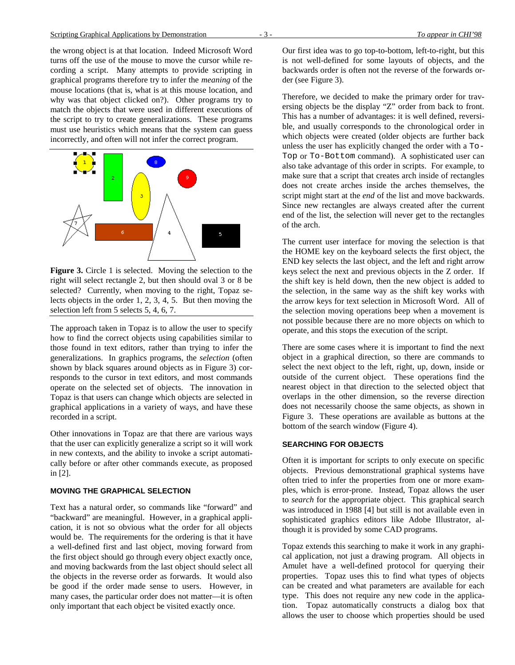the wrong object is at that location. Indeed Microsoft Word turns off the use of the mouse to move the cursor while recording a script. Many attempts to provide scripting in graphical programs therefore try to infer the *meaning* of the mouse locations (that is, what is at this mouse location, and why was that object clicked on?). Other programs try to match the objects that were used in different executions of the script to try to create generalizations. These programs must use heuristics which means that the system can guess incorrectly, and often will not infer the correct program.



**Figure 3.** Circle 1 is selected. Moving the selection to the right will select rectangle 2, but then should oval 3 or 8 be selected? Currently, when moving to the right, Topaz selects objects in the order 1, 2, 3, 4, 5. But then moving the selection left from 5 selects 5, 4, 6, 7.

The approach taken in Topaz is to allow the user to specify how to find the correct objects using capabilities similar to those found in text editors, rather than trying to infer the generalizations. In graphics programs, the *selection* (often shown by black squares around objects as in Figure 3) corresponds to the cursor in text editors, and most commands operate on the selected set of objects. The innovation in Topaz is that users can change which objects are selected in graphical applications in a variety of ways, and have these recorded in a script.

Other innovations in Topaz are that there are various ways that the user can explicitly generalize a script so it will work in new contexts, and the ability to invoke a script automatically before or after other commands execute, as proposed in [2].

# **MOVING THE GRAPHICAL SELECTION**

Text has a natural order, so commands like "forward" and "backward" are meaningful. However, in a graphical application, it is not so obvious what the order for all objects would be. The requirements for the ordering is that it have a well-defined first and last object, moving forward from the first object should go through every object exactly once, and moving backwards from the last object should select all the objects in the reverse order as forwards. It would also be good if the order made sense to users. However, in many cases, the particular order does not matter—it is often only important that each object be visited exactly once.

Our first idea was to go top-to-bottom, left-to-right, but this is not well-defined for some layouts of objects, and the backwards order is often not the reverse of the forwards order (see Figure 3).

Therefore, we decided to make the primary order for traversing objects be the display "Z" order from back to front. This has a number of advantages: it is well defined, reversible, and usually corresponds to the chronological order in which objects were created (older objects are further back unless the user has explicitly changed the order with a To-Top or To-Bottom command). A sophisticated user can also take advantage of this order in scripts. For example, to make sure that a script that creates arch inside of rectangles does not create arches inside the arches themselves, the script might start at the *end* of the list and move backwards. Since new rectangles are always created after the current end of the list, the selection will never get to the rectangles of the arch.

The current user interface for moving the selection is that the HOME key on the keyboard selects the first object, the END key selects the last object, and the left and right arrow keys select the next and previous objects in the Z order. If the shift key is held down, then the new object is added to the selection, in the same way as the shift key works with the arrow keys for text selection in Microsoft Word. All of the selection moving operations beep when a movement is not possible because there are no more objects on which to operate, and this stops the execution of the script.

There are some cases where it is important to find the next object in a graphical direction, so there are commands to select the next object to the left, right, up, down, inside or outside of the current object. These operations find the nearest object in that direction to the selected object that overlaps in the other dimension, so the reverse direction does not necessarily choose the same objects, as shown in Figure 3. These operations are available as buttons at the bottom of the search window (Figure 4).

# **SEARCHING FOR OBJECTS**

Often it is important for scripts to only execute on specific objects. Previous demonstrational graphical systems have often tried to infer the properties from one or more examples, which is error-prone. Instead, Topaz allows the user to *search* for the appropriate object. This graphical search was introduced in 1988 [4] but still is not available even in sophisticated graphics editors like Adobe Illustrator, although it is provided by some CAD programs.

Topaz extends this searching to make it work in any graphical application, not just a drawing program. All objects in Amulet have a well-defined protocol for querying their properties. Topaz uses this to find what types of objects can be created and what parameters are available for each type. This does not require any new code in the application. Topaz automatically constructs a dialog box that allows the user to choose which properties should be used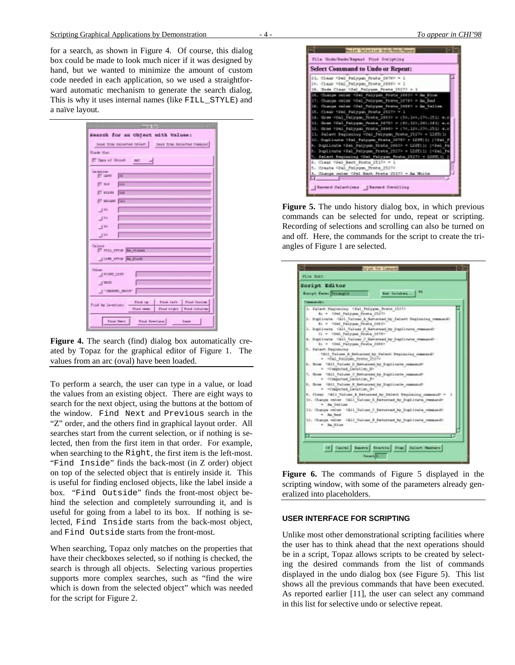for a search, as shown in Figure 4. Of course, this dialog box could be made to look much nicer if it was designed by hand, but we wanted to minimize the amount of custom code needed in each application, so we used a straightforward automatic mechanism to generate the search dialog. This is why it uses internal names (like FILL\_STYLE) and a naïve layout.

| via for 13<br>Search for an Object with Values: |                                                           |
|-------------------------------------------------|-----------------------------------------------------------|
|                                                 | tood from repaired coller. Issue from retwiced common     |
| <b>Back that</b>                                |                                                           |
| T. Davi of Octobe                               | AA17                                                      |
| Lambian.<br>E GIPS                              | <b>FE</b>                                                 |
|                                                 |                                                           |
| T BOP                                           | <b>The Street</b>                                         |
| <b>TATALOG</b>                                  | <b>Tax</b>                                                |
| T BECOME                                        | <b>Tax</b>                                                |
| 141                                             |                                                           |
| 111                                             |                                                           |
| 100                                             |                                                           |
| 182                                             |                                                           |
|                                                 |                                                           |
| Calous-                                         | IT FILE STILE BA CEMAN                                    |
|                                                 |                                                           |
|                                                 | JUNE STUF ON FILMS                                        |
| Oldsmo                                          |                                                           |
| NOISE LEST                                      |                                                           |
| J <sub>2</sub>                                  |                                                           |
|                                                 | T CHEATED INSUR-                                          |
|                                                 | Pine Laft   Fine Incline<br>Filmak hap                    |
| Frail by Lawritzens                             | Find vight   Find initiate<br>Flash Henry                 |
|                                                 |                                                           |
|                                                 | <b>Find Twis</b><br><b>Fund Territorie</b><br><b>Bank</b> |

**Figure 4.** The search (find) dialog box automatically created by Topaz for the graphical editor of Figure 1. The values from an arc (oval) have been loaded.

To perform a search, the user can type in a value, or load the values from an existing object. There are eight ways to search for the next object, using the buttons at the bottom of the window. Find Next and Previous search in the "Z" order, and the others find in graphical layout order. All searches start from the current selection, or if nothing is selected, then from the first item in that order. For example, when searching to the Right, the first item is the left-most. "Find Inside" finds the back-most (in Z order) object on top of the selected object that is entirely inside it. This is useful for finding enclosed objects, like the label inside a box. "Find Outside" finds the front-most object behind the selection and completely surrounding it, and is useful for going from a label to its box. If nothing is selected, Find Inside starts from the back-most object, and Find Outside starts from the front-most.

When searching, Topaz only matches on the properties that have their checkboxes selected, so if nothing is checked, the search is through all objects. Selecting various properties supports more complex searches, such as "find the wire which is down from the selected object" which was needed for the script for Figure 2.



**Figure 5.** The undo history dialog box, in which previous commands can be selected for undo, repeat or scripting. Recording of selections and scrolling can also be turned on and off. Here, the commands for the script to create the triangles of Figure 1 are selected.

| Script Editor<br>Rev Tarobad<br><b>Recipt Same Secondia</b>                                                                                                                                                                                                                                                                                                            |                                                                                                                                                                                                                                                                                                                                                                                                                                                                                                   |  |
|------------------------------------------------------------------------------------------------------------------------------------------------------------------------------------------------------------------------------------------------------------------------------------------------------------------------------------------------------------------------|---------------------------------------------------------------------------------------------------------------------------------------------------------------------------------------------------------------------------------------------------------------------------------------------------------------------------------------------------------------------------------------------------------------------------------------------------------------------------------------------------|--|
| <b>Communication</b>                                                                                                                                                                                                                                                                                                                                                   |                                                                                                                                                                                                                                                                                                                                                                                                                                                                                                   |  |
| 1. Salash Saginving <sal 25272<br="" folygon="" fretz="">81 - Gled Fallypan Frisha 23273-<br/>B) = Gled Fallypun Frutis 20623-<br/>C) = <del 20782-<br="" palpum="" prota="">Dy = Cited Pallygon Paulin 20942-<br/>1. Salash Bagisring<br/>- viel Polygon Preto 2527-<br/>a computed Location (8)<br/>= vicespoted Location F=<br/>a vicepated Location Gr</del></sal> | 3. Suphirute: CA11 Naloss A Batternast by Salast Supinning command-<br>3. Suplicate GAIL Taless B Baturnad by Duplicate memorial<br>4. Supdirete Gill Taless C Naturnally Deplicate comments<br>CAIL Talues A Returned by Island Depinning commonly<br>8. Srow CAIL Talums D Returned by Duplicate community<br>7. Some - GLI Talues C Returned by Duplicate community<br>8. Grow GAL Talues E Returned by Duplicate commonly<br>9. Clear CEII Values A Returned by Delect Depinning commonly - 1 |  |
| - Ja Tellow<br>- Air Red                                                                                                                                                                                                                                                                                                                                               | 10. Change color CAII Values I Saturnad by Inglicate research-<br>11. Change color (all Values I Batternad by Ingiliasta remassion                                                                                                                                                                                                                                                                                                                                                                |  |
| - 3m 22cm                                                                                                                                                                                                                                                                                                                                                              | 13. Change maler SELL Values 3 Seturned by Inglicate remeand-                                                                                                                                                                                                                                                                                                                                                                                                                                     |  |

**Figure 6.** The commands of Figure 5 displayed in the scripting window, with some of the parameters already generalized into placeholders.

#### **USER INTERFACE FOR SCRIPTING**

Unlike most other demonstrational scripting facilities where the user has to think ahead that the next operations should be in a script, Topaz allows scripts to be created by selecting the desired commands from the list of commands displayed in the undo dialog box (see Figure 5). This list shows all the previous commands that have been executed. As reported earlier [11], the user can select any command in this list for selective undo or selective repeat.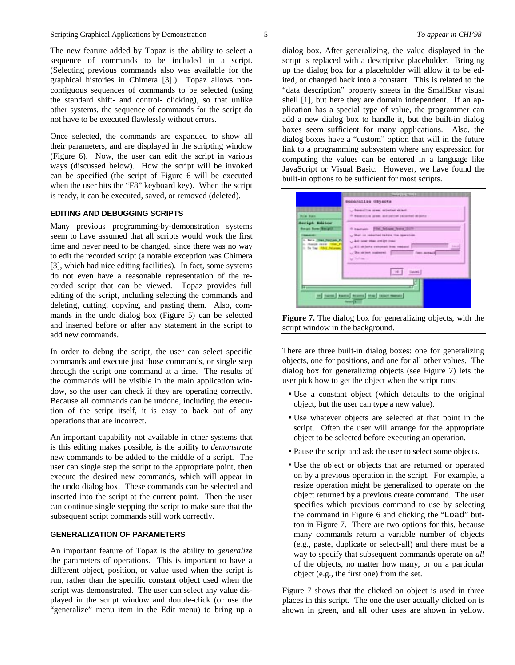The new feature added by Topaz is the ability to select a sequence of commands to be included in a script. (Selecting previous commands also was available for the graphical histories in Chimera [3].) Topaz allows noncontiguous sequences of commands to be selected (using the standard shift- and control- clicking), so that unlike other systems, the sequence of commands for the script do not have to be executed flawlessly without errors.

Once selected, the commands are expanded to show all their parameters, and are displayed in the scripting window (Figure 6). Now, the user can edit the script in various ways (discussed below). How the script will be invoked can be specified (the script of Figure 6 will be executed when the user hits the "F8" keyboard key). When the script is ready, it can be executed, saved, or removed (deleted).

## **EDITING AND DEBUGGING SCRIPTS**

Many previous programming-by-demonstration systems seem to have assumed that all scripts would work the first time and never need to be changed, since there was no way to edit the recorded script (a notable exception was Chimera [3], which had nice editing facilities). In fact, some systems do not even have a reasonable representation of the recorded script that can be viewed. Topaz provides full editing of the script, including selecting the commands and deleting, cutting, copying, and pasting them. Also, commands in the undo dialog box (Figure 5) can be selected and inserted before or after any statement in the script to add new commands.

In order to debug the script, the user can select specific commands and execute just those commands, or single step through the script one command at a time. The results of the commands will be visible in the main application window, so the user can check if they are operating correctly. Because all commands can be undone, including the execution of the script itself, it is easy to back out of any operations that are incorrect.

An important capability not available in other systems that is this editing makes possible, is the ability to *demonstrate* new commands to be added to the middle of a script. The user can single step the script to the appropriate point, then execute the desired new commands, which will appear in the undo dialog box. These commands can be selected and inserted into the script at the current point. Then the user can continue single stepping the script to make sure that the subsequent script commands still work correctly.

#### **GENERALIZATION OF PARAMETERS**

An important feature of Topaz is the ability to *generalize* the parameters of operations. This is important to have a different object, position, or value used when the script is run, rather than the specific constant object used when the script was demonstrated. The user can select any value displayed in the script window and double-click (or use the "generalize" menu item in the Edit menu) to bring up a

dialog box. After generalizing, the value displayed in the script is replaced with a descriptive placeholder. Bringing up the dialog box for a placeholder will allow it to be edited, or changed back into a constant. This is related to the "data description" property sheets in the SmallStar visual shell [1], but here they are domain independent. If an application has a special type of value, the programmer can add a new dialog box to handle it, but the built-in dialog boxes seem sufficient for many applications. Also, the dialog boxes have a "custom" option that will in the future link to a programming subsystem where any expression for computing the values can be entered in a language like JavaScript or Visual Basic. However, we have found the built-in options to be sufficient for most scripts.

|                                                                                                                                          | <b>Committee Mandel</b>                                                                                                                                                                                                         |
|------------------------------------------------------------------------------------------------------------------------------------------|---------------------------------------------------------------------------------------------------------------------------------------------------------------------------------------------------------------------------------|
|                                                                                                                                          | secoralize objects                                                                                                                                                                                                              |
| Rie Sait                                                                                                                                 | - Swedist gree screened most.<br><sup>(5</sup> Severalize green and pattern reducted ablantar                                                                                                                                   |
| Seriph Editor<br><b>Breat Row Becalif</b><br><b>SALES</b><br>1. Now Thee Netherly P.<br>L. Dutes mint   Old Pe<br>1. To Tay 1984 Pelasan | 4 hautans FM, Jeleps Jews 18171<br>U Wall in selected heliers the merchini<br>C-840 look state and get trace<br><b>Editor</b><br>ALL skiers setonal free means<br>. The skinst audience in the control of the service<br>within |
|                                                                                                                                          | (interi                                                                                                                                                                                                                         |
| п.                                                                                                                                       | tel turni suntai biama trap saart mener                                                                                                                                                                                         |

Figure 7. The dialog box for generalizing objects, with the script window in the background.

There are three built-in dialog boxes: one for generalizing objects, one for positions, and one for all other values. The dialog box for generalizing objects (see Figure 7) lets the user pick how to get the object when the script runs:

- Use a constant object (which defaults to the original object, but the user can type a new value).
- Use whatever objects are selected at that point in the script. Often the user will arrange for the appropriate object to be selected before executing an operation.
- Pause the script and ask the user to select some objects.
- Use the object or objects that are returned or operated on by a previous operation in the script. For example, a resize operation might be generalized to operate on the object returned by a previous create command. The user specifies which previous command to use by selecting the command in Figure 6 and clicking the "Load" button in Figure 7. There are two options for this, because many commands return a variable number of objects (e.g., paste, duplicate or select-all) and there must be a way to specify that subsequent commands operate on *all* of the objects, no matter how many, or on a particular object (e.g., the first one) from the set.

Figure 7 shows that the clicked on object is used in three places in this script. The one the user actually clicked on is shown in green, and all other uses are shown in yellow.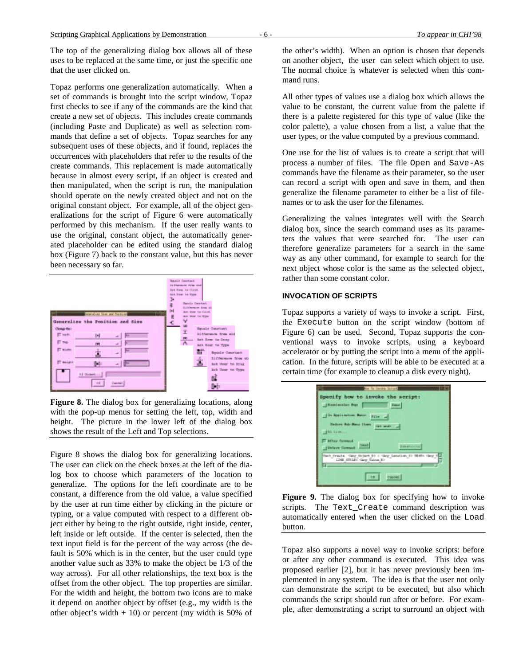The top of the generalizing dialog box allows all of these uses to be replaced at the same time, or just the specific one that the user clicked on.

Topaz performs one generalization automatically. When a set of commands is brought into the script window, Topaz first checks to see if any of the commands are the kind that create a new set of objects. This includes create commands (including Paste and Duplicate) as well as selection commands that define a set of objects. Topaz searches for any subsequent uses of these objects, and if found, replaces the occurrences with placeholders that refer to the results of the create commands. This replacement is made automatically because in almost every script, if an object is created and then manipulated, when the script is run, the manipulation should operate on the newly created object and not on the original constant object. For example, all of the object generalizations for the script of Figure 6 were automatically performed by this mechanism. If the user really wants to use the original, constant object, the automatically generated placeholder can be edited using the standard dialog box (Figure 7) back to the constant value, but this has never been necessary so far.



Figure 8. The dialog box for generalizing locations, along with the pop-up menus for setting the left, top, width and height. The picture in the lower left of the dialog box shows the result of the Left and Top selections.

Figure 8 shows the dialog box for generalizing locations. The user can click on the check boxes at the left of the dialog box to choose which parameters of the location to generalize. The options for the left coordinate are to be constant, a difference from the old value, a value specified by the user at run time either by clicking in the picture or typing, or a value computed with respect to a different object either by being to the right outside, right inside, center, left inside or left outside. If the center is selected, then the text input field is for the percent of the way across (the default is 50% which is in the center, but the user could type another value such as 33% to make the object be 1/3 of the way across). For all other relationships, the text box is the offset from the other object. The top properties are similar. For the width and height, the bottom two icons are to make it depend on another object by offset (e.g., my width is the other object's width  $+ 10$ ) or percent (my width is 50% of

the other's width). When an option is chosen that depends on another object, the user can select which object to use. The normal choice is whatever is selected when this command runs.

All other types of values use a dialog box which allows the value to be constant, the current value from the palette if there is a palette registered for this type of value (like the color palette), a value chosen from a list, a value that the user types, or the value computed by a previous command.

One use for the list of values is to create a script that will process a number of files. The file Open and Save-As commands have the filename as their parameter, so the user can record a script with open and save in them, and then generalize the filename parameter to either be a list of filenames or to ask the user for the filenames.

Generalizing the values integrates well with the Search dialog box, since the search command uses as its parameters the values that were searched for. The user can therefore generalize parameters for a search in the same way as any other command, for example to search for the next object whose color is the same as the selected object, rather than some constant color.

# **INVOCATION OF SCRIPTS**

Topaz supports a variety of ways to invoke a script. First, the Execute button on the script window (bottom of Figure 6) can be used. Second, Topaz supports the conventional ways to invoke scripts, using a keyboard accelerator or by putting the script into a menu of the application. In the future, scripts will be able to be executed at a certain time (for example to cleanup a disk every night).



Figure 9. The dialog box for specifying how to invoke scripts. The Text\_Create command description was automatically entered when the user clicked on the Load button.

Topaz also supports a novel way to invoke scripts: before or after any other command is executed. This idea was proposed earlier [2], but it has never previously been implemented in any system. The idea is that the user not only can demonstrate the script to be executed, but also which commands the script should run after or before. For example, after demonstrating a script to surround an object with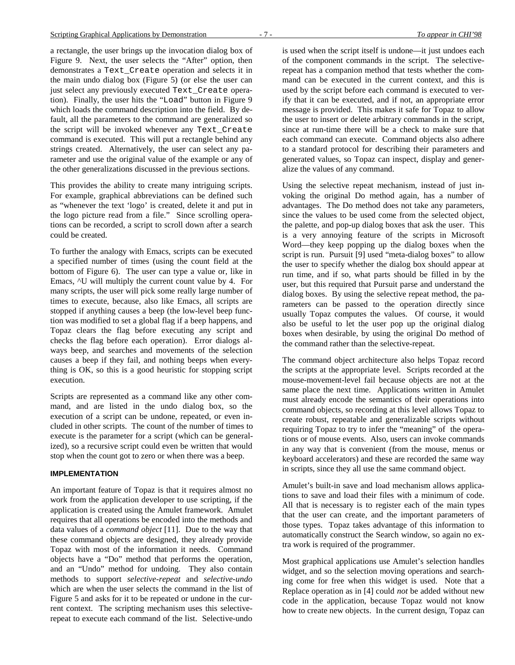a rectangle, the user brings up the invocation dialog box of Figure 9. Next, the user selects the "After" option, then demonstrates a Text\_Create operation and selects it in the main undo dialog box (Figure 5) (or else the user can just select any previously executed Text\_Create operation). Finally, the user hits the "Load" button in Figure 9 which loads the command description into the field. By default, all the parameters to the command are generalized so the script will be invoked whenever any Text\_Create command is executed. This will put a rectangle behind any strings created. Alternatively, the user can select any parameter and use the original value of the example or any of the other generalizations discussed in the previous sections.

This provides the ability to create many intriguing scripts. For example, graphical abbreviations can be defined such as "whenever the text 'logo' is created, delete it and put in the logo picture read from a file." Since scrolling operations can be recorded, a script to scroll down after a search could be created.

To further the analogy with Emacs, scripts can be executed a specified number of times (using the count field at the bottom of Figure 6). The user can type a value or, like in Emacs, ^U will multiply the current count value by 4. For many scripts, the user will pick some really large number of times to execute, because, also like Emacs, all scripts are stopped if anything causes a beep (the low-level beep function was modified to set a global flag if a beep happens, and Topaz clears the flag before executing any script and checks the flag before each operation). Error dialogs always beep, and searches and movements of the selection causes a beep if they fail, and nothing beeps when everything is OK, so this is a good heuristic for stopping script execution.

Scripts are represented as a command like any other command, and are listed in the undo dialog box, so the execution of a script can be undone, repeated, or even included in other scripts. The count of the number of times to execute is the parameter for a script (which can be generalized), so a recursive script could even be written that would stop when the count got to zero or when there was a beep.

## **IMPLEMENTATION**

An important feature of Topaz is that it requires almost no work from the application developer to use scripting, if the application is created using the Amulet framework. Amulet requires that all operations be encoded into the methods and data values of a *command object* [11]. Due to the way that these command objects are designed, they already provide Topaz with most of the information it needs. Command objects have a "Do" method that performs the operation, and an "Undo" method for undoing. They also contain methods to support *selective-repeat* and *selective-undo* which are when the user selects the command in the list of Figure 5 and asks for it to be repeated or undone in the current context. The scripting mechanism uses this selectiverepeat to execute each command of the list. Selective-undo

is used when the script itself is undone—it just undoes each of the component commands in the script. The selectiverepeat has a companion method that tests whether the command can be executed in the current context, and this is used by the script before each command is executed to verify that it can be executed, and if not, an appropriate error message is provided. This makes it safe for Topaz to allow the user to insert or delete arbitrary commands in the script, since at run-time there will be a check to make sure that each command can execute. Command objects also adhere to a standard protocol for describing their parameters and generated values, so Topaz can inspect, display and generalize the values of any command.

Using the selective repeat mechanism, instead of just invoking the original Do method again, has a number of advantages. The Do method does not take any parameters, since the values to be used come from the selected object, the palette, and pop-up dialog boxes that ask the user. This is a very annoying feature of the scripts in Microsoft Word—they keep popping up the dialog boxes when the script is run. Pursuit [9] used "meta-dialog boxes" to allow the user to specify whether the dialog box should appear at run time, and if so, what parts should be filled in by the user, but this required that Pursuit parse and understand the dialog boxes. By using the selective repeat method, the parameters can be passed to the operation directly since usually Topaz computes the values. Of course, it would also be useful to let the user pop up the original dialog boxes when desirable, by using the original Do method of the command rather than the selective-repeat.

The command object architecture also helps Topaz record the scripts at the appropriate level. Scripts recorded at the mouse-movement-level fail because objects are not at the same place the next time. Applications written in Amulet must already encode the semantics of their operations into command objects, so recording at this level allows Topaz to create robust, repeatable and generalizable scripts without requiring Topaz to try to infer the "meaning" of the operations or of mouse events. Also, users can invoke commands in any way that is convenient (from the mouse, menus or keyboard accelerators) and these are recorded the same way in scripts, since they all use the same command object.

Amulet's built-in save and load mechanism allows applications to save and load their files with a minimum of code. All that is necessary is to register each of the main types that the user can create, and the important parameters of those types. Topaz takes advantage of this information to automatically construct the Search window, so again no extra work is required of the programmer.

Most graphical applications use Amulet's selection handles widget, and so the selection moving operations and searching come for free when this widget is used. Note that a Replace operation as in [4] could *not* be added without new code in the application, because Topaz would not know how to create new objects. In the current design, Topaz can